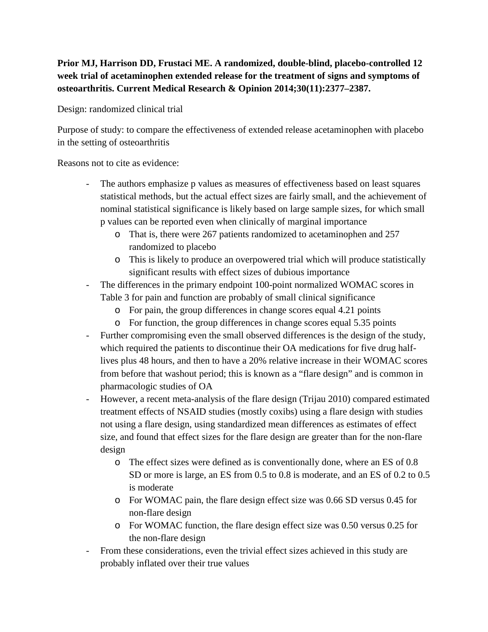## **Prior MJ, Harrison DD, Frustaci ME. A randomized, double-blind, placebo-controlled 12 week trial of acetaminophen extended release for the treatment of signs and symptoms of osteoarthritis. Current Medical Research & Opinion 2014;30(11):2377–2387.**

Design: randomized clinical trial

Purpose of study: to compare the effectiveness of extended release acetaminophen with placebo in the setting of osteoarthritis

Reasons not to cite as evidence:

- The authors emphasize p values as measures of effectiveness based on least squares statistical methods, but the actual effect sizes are fairly small, and the achievement of nominal statistical significance is likely based on large sample sizes, for which small p values can be reported even when clinically of marginal importance
	- o That is, there were 267 patients randomized to acetaminophen and 257 randomized to placebo
	- o This is likely to produce an overpowered trial which will produce statistically significant results with effect sizes of dubious importance
- The differences in the primary endpoint 100-point normalized WOMAC scores in Table 3 for pain and function are probably of small clinical significance
	- o For pain, the group differences in change scores equal 4.21 points
	- o For function, the group differences in change scores equal 5.35 points
- Further compromising even the small observed differences is the design of the study, which required the patients to discontinue their OA medications for five drug halflives plus 48 hours, and then to have a 20% relative increase in their WOMAC scores from before that washout period; this is known as a "flare design" and is common in pharmacologic studies of OA
- However, a recent meta-analysis of the flare design (Trijau 2010) compared estimated treatment effects of NSAID studies (mostly coxibs) using a flare design with studies not using a flare design, using standardized mean differences as estimates of effect size, and found that effect sizes for the flare design are greater than for the non-flare design
	- o The effect sizes were defined as is conventionally done, where an ES of 0.8 SD or more is large, an ES from 0.5 to 0.8 is moderate, and an ES of 0.2 to 0.5 is moderate
	- o For WOMAC pain, the flare design effect size was 0.66 SD versus 0.45 for non-flare design
	- o For WOMAC function, the flare design effect size was 0.50 versus 0.25 for the non-flare design
- From these considerations, even the trivial effect sizes achieved in this study are probably inflated over their true values